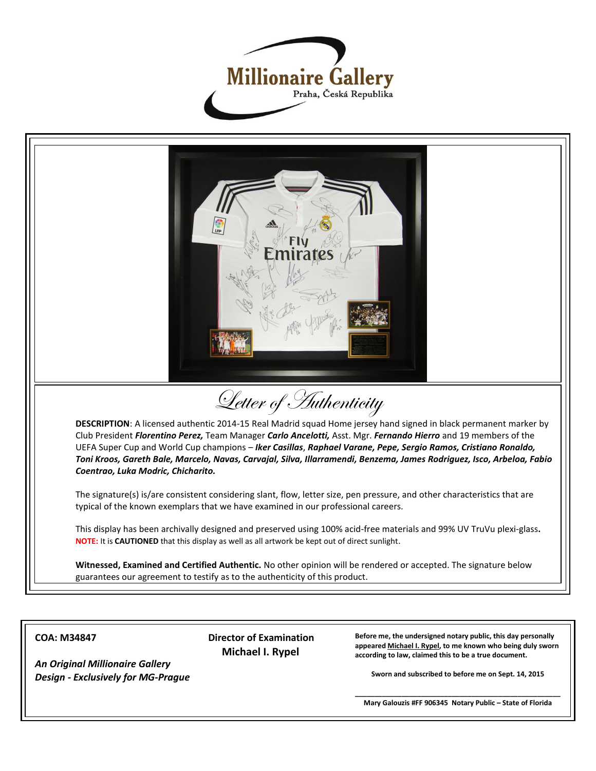



**COA: M34847**

 **Director of Examination Michael I. Rypel**

**Before me, the undersigned notary public, this day personally appeared Michael I. Rypel, to me known who being duly sworn according to law, claimed this to be a true document.**

**Sworn and subscribed to before me on Sept. 14, 2015**

*An Original Millionaire Gallery Design - Exclusively for MG-Prague*

> **\_\_\_\_\_\_\_\_\_\_\_\_\_\_\_\_\_\_\_\_\_\_\_\_\_\_\_\_\_\_\_\_\_\_\_\_\_\_\_\_\_\_\_\_\_\_\_\_\_\_\_\_\_ Mary Galouzis #FF 906345 Notary Public – State of Florida**